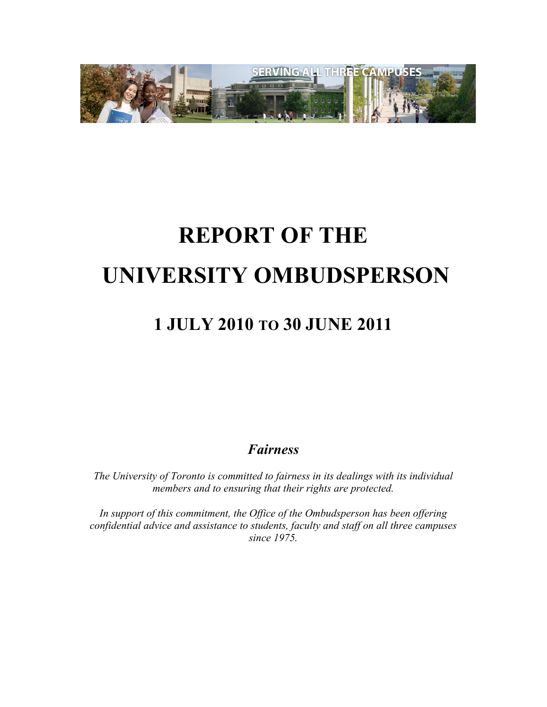

# **REPORT OF THE UNIVERSITY OMBUDSPERSON**

## **1 JULY 2010 TO 30 JUNE 2011**

*Fairness*

*The University of Toronto is committed to fairness in its dealings with its individual members and to ensuring that their rights are protected.*

*In support of this commitment, the Office of the Ombudsperson has been offering confidential advice and assistance to students, faculty and staff on all three campuses since 1975.*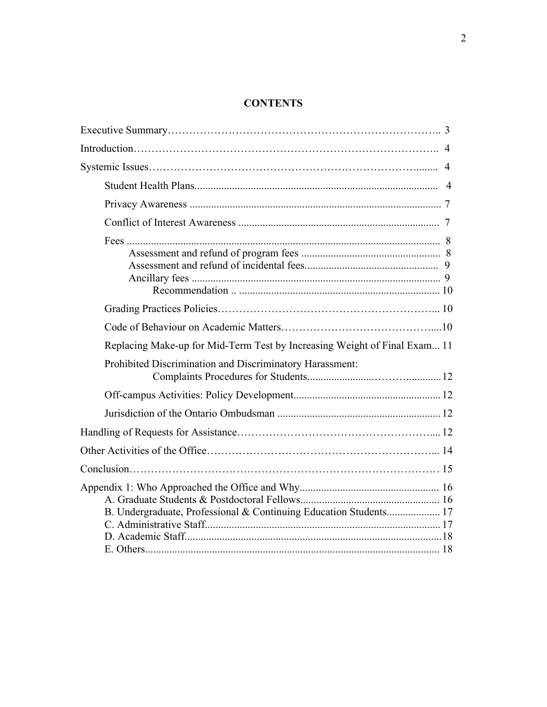#### **CONTENTS**

| Replacing Make-up for Mid-Term Test by Increasing Weight of Final Exam 11 |  |
|---------------------------------------------------------------------------|--|
| Prohibited Discrimination and Discriminatory Harassment:                  |  |
|                                                                           |  |
|                                                                           |  |
|                                                                           |  |
|                                                                           |  |
|                                                                           |  |
| B. Undergraduate, Professional & Continuing Education Students 17         |  |
|                                                                           |  |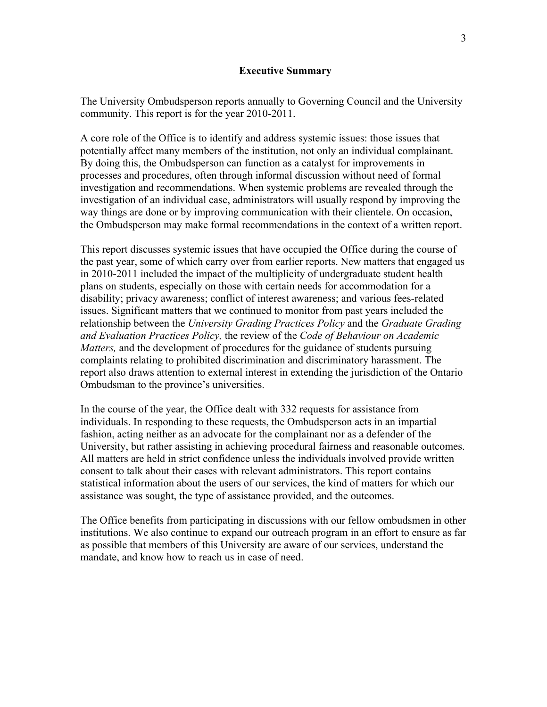The University Ombudsperson reports annually to Governing Council and the University community. This report is for the year 2010-2011.

A core role of the Office is to identify and address systemic issues: those issues that potentially affect many members of the institution, not only an individual complainant. By doing this, the Ombudsperson can function as a catalyst for improvements in processes and procedures, often through informal discussion without need of formal investigation and recommendations. When systemic problems are revealed through the investigation of an individual case, administrators will usually respond by improving the way things are done or by improving communication with their clientele. On occasion, the Ombudsperson may make formal recommendations in the context of a written report.

This report discusses systemic issues that have occupied the Office during the course of the past year, some of which carry over from earlier reports. New matters that engaged us in 2010-2011 included the impact of the multiplicity of undergraduate student health plans on students, especially on those with certain needs for accommodation for a disability; privacy awareness; conflict of interest awareness; and various fees-related issues. Significant matters that we continued to monitor from past years included the relationship between the *University Grading Practices Policy* and the *Graduate Grading and Evaluation Practices Policy,* the review of the *Code of Behaviour on Academic Matters,* and the development of procedures for the guidance of students pursuing complaints relating to prohibited discrimination and discriminatory harassment. The report also draws attention to external interest in extending the jurisdiction of the Ontario Ombudsman to the province's universities.

In the course of the year, the Office dealt with 332 requests for assistance from individuals. In responding to these requests, the Ombudsperson acts in an impartial fashion, acting neither as an advocate for the complainant nor as a defender of the University, but rather assisting in achieving procedural fairness and reasonable outcomes. All matters are held in strict confidence unless the individuals involved provide written consent to talk about their cases with relevant administrators. This report contains statistical information about the users of our services, the kind of matters for which our assistance was sought, the type of assistance provided, and the outcomes.

The Office benefits from participating in discussions with our fellow ombudsmen in other institutions. We also continue to expand our outreach program in an effort to ensure as far as possible that members of this University are aware of our services, understand the mandate, and know how to reach us in case of need.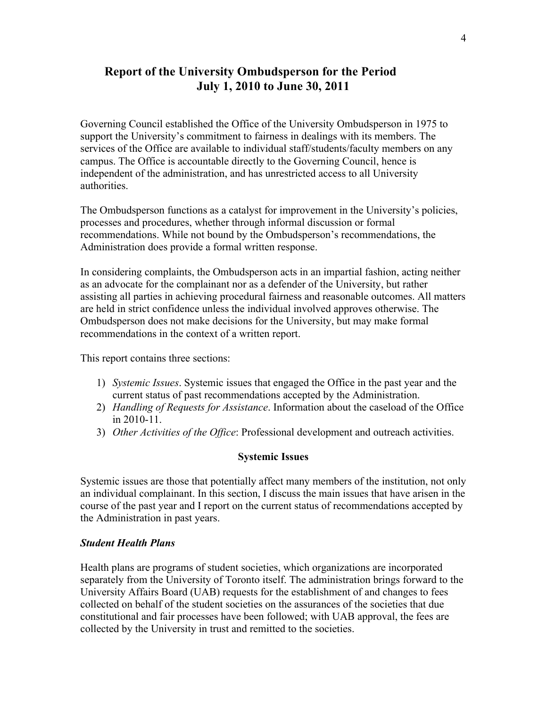### **Report of the University Ombudsperson for the Period July 1, 2010 to June 30, 2011**

Governing Council established the Office of the University Ombudsperson in 1975 to support the University's commitment to fairness in dealings with its members. The services of the Office are available to individual staff/students/faculty members on any campus. The Office is accountable directly to the Governing Council, hence is independent of the administration, and has unrestricted access to all University authorities.

The Ombudsperson functions as a catalyst for improvement in the University's policies, processes and procedures, whether through informal discussion or formal recommendations. While not bound by the Ombudsperson's recommendations, the Administration does provide a formal written response.

In considering complaints, the Ombudsperson acts in an impartial fashion, acting neither as an advocate for the complainant nor as a defender of the University, but rather assisting all parties in achieving procedural fairness and reasonable outcomes. All matters are held in strict confidence unless the individual involved approves otherwise. The Ombudsperson does not make decisions for the University, but may make formal recommendations in the context of a written report.

This report contains three sections:

- 1) *Systemic Issues*. Systemic issues that engaged the Office in the past year and the current status of past recommendations accepted by the Administration.
- 2) *Handling of Requests for Assistance*. Information about the caseload of the Office in 2010-11.
- 3) *Other Activities of the Office*: Professional development and outreach activities.

#### **Systemic Issues**

Systemic issues are those that potentially affect many members of the institution, not only an individual complainant. In this section, I discuss the main issues that have arisen in the course of the past year and I report on the current status of recommendations accepted by the Administration in past years.

#### *Student Health Plans*

Health plans are programs of student societies, which organizations are incorporated separately from the University of Toronto itself. The administration brings forward to the University Affairs Board (UAB) requests for the establishment of and changes to fees collected on behalf of the student societies on the assurances of the societies that due constitutional and fair processes have been followed; with UAB approval, the fees are collected by the University in trust and remitted to the societies.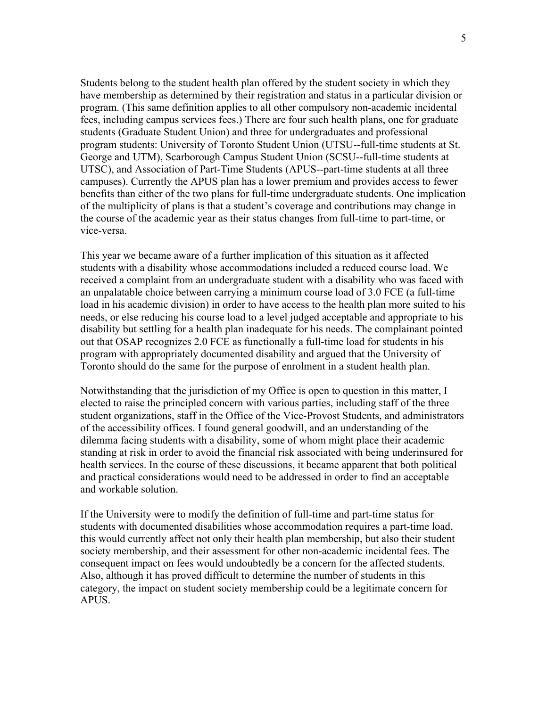Students belong to the student health plan offered by the student society in which they have membership as determined by their registration and status in a particular division or program. (This same definition applies to all other compulsory non-academic incidental fees, including campus services fees.) There are four such health plans, one for graduate students (Graduate Student Union) and three for undergraduates and professional program students: University of Toronto Student Union (UTSU--full-time students at St. George and UTM), Scarborough Campus Student Union (SCSU--full-time students at UTSC), and Association of Part-Time Students (APUS--part-time students at all three campuses). Currently the APUS plan has a lower premium and provides access to fewer benefits than either of the two plans for full-time undergraduate students. One implication of the multiplicity of plans is that a student's coverage and contributions may change in the course of the academic year as their status changes from full-time to part-time, or vice-versa.

This year we became aware of a further implication of this situation as it affected students with a disability whose accommodations included a reduced course load. We received a complaint from an undergraduate student with a disability who was faced with an unpalatable choice between carrying a minimum course load of 3.0 FCE (a full-time load in his academic division) in order to have access to the health plan more suited to his needs, or else reducing his course load to a level judged acceptable and appropriate to his disability but settling for a health plan inadequate for his needs. The complainant pointed out that OSAP recognizes 2.0 FCE as functionally a full-time load for students in his program with appropriately documented disability and argued that the University of Toronto should do the same for the purpose of enrolment in a student health plan.

Notwithstanding that the jurisdiction of my Office is open to question in this matter, I elected to raise the principled concern with various parties, including staff of the three student organizations, staff in the Office of the Vice-Provost Students, and administrators of the accessibility offices. I found general goodwill, and an understanding of the dilemma facing students with a disability, some of whom might place their academic standing at risk in order to avoid the financial risk associated with being underinsured for health services. In the course of these discussions, it became apparent that both political and practical considerations would need to be addressed in order to find an acceptable and workable solution.

If the University were to modify the definition of full-time and part-time status for students with documented disabilities whose accommodation requires a part-time load, this would currently affect not only their health plan membership, but also their student society membership, and their assessment for other non-academic incidental fees. The consequent impact on fees would undoubtedly be a concern for the affected students. Also, although it has proved difficult to determine the number of students in this category, the impact on student society membership could be a legitimate concern for APUS.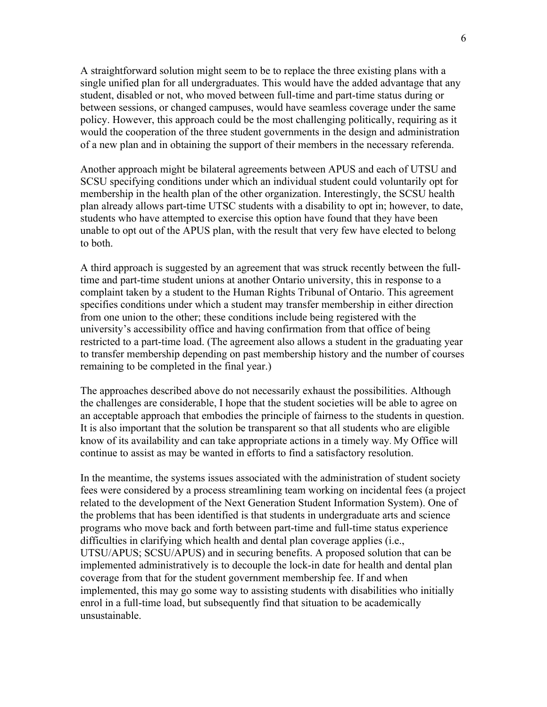A straightforward solution might seem to be to replace the three existing plans with a single unified plan for all undergraduates. This would have the added advantage that any student, disabled or not, who moved between full-time and part-time status during or between sessions, or changed campuses, would have seamless coverage under the same policy. However, this approach could be the most challenging politically, requiring as it would the cooperation of the three student governments in the design and administration of a new plan and in obtaining the support of their members in the necessary referenda.

Another approach might be bilateral agreements between APUS and each of UTSU and SCSU specifying conditions under which an individual student could voluntarily opt for membership in the health plan of the other organization. Interestingly, the SCSU health plan already allows part-time UTSC students with a disability to opt in; however, to date, students who have attempted to exercise this option have found that they have been unable to opt out of the APUS plan, with the result that very few have elected to belong to both.

A third approach is suggested by an agreement that was struck recently between the fulltime and part-time student unions at another Ontario university, this in response to a complaint taken by a student to the Human Rights Tribunal of Ontario. This agreement specifies conditions under which a student may transfer membership in either direction from one union to the other; these conditions include being registered with the university's accessibility office and having confirmation from that office of being restricted to a part-time load. (The agreement also allows a student in the graduating year to transfer membership depending on past membership history and the number of courses remaining to be completed in the final year.)

The approaches described above do not necessarily exhaust the possibilities. Although the challenges are considerable, I hope that the student societies will be able to agree on an acceptable approach that embodies the principle of fairness to the students in question. It is also important that the solution be transparent so that all students who are eligible know of its availability and can take appropriate actions in a timely way. My Office will continue to assist as may be wanted in efforts to find a satisfactory resolution.

In the meantime, the systems issues associated with the administration of student society fees were considered by a process streamlining team working on incidental fees (a project related to the development of the Next Generation Student Information System). One of the problems that has been identified is that students in undergraduate arts and science programs who move back and forth between part-time and full-time status experience difficulties in clarifying which health and dental plan coverage applies (i.e., UTSU/APUS; SCSU/APUS) and in securing benefits. A proposed solution that can be implemented administratively is to decouple the lock-in date for health and dental plan coverage from that for the student government membership fee. If and when implemented, this may go some way to assisting students with disabilities who initially enrol in a full-time load, but subsequently find that situation to be academically unsustainable.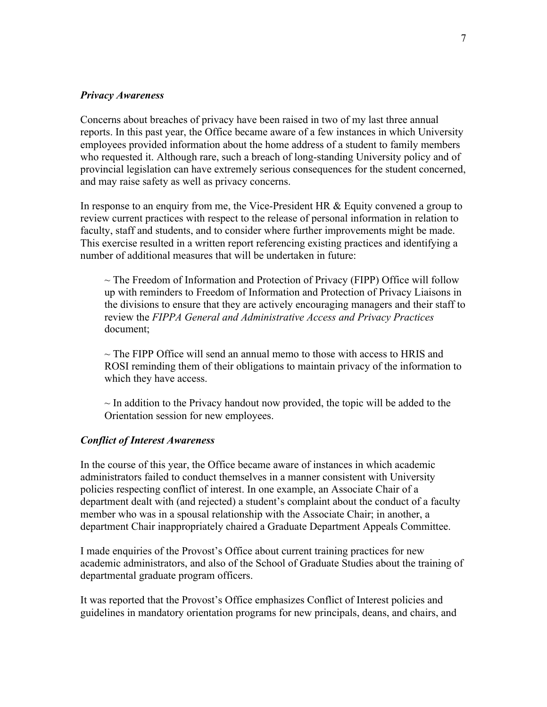#### *Privacy Awareness*

Concerns about breaches of privacy have been raised in two of my last three annual reports. In this past year, the Office became aware of a few instances in which University employees provided information about the home address of a student to family members who requested it. Although rare, such a breach of long-standing University policy and of provincial legislation can have extremely serious consequences for the student concerned, and may raise safety as well as privacy concerns.

In response to an enquiry from me, the Vice-President HR & Equity convened a group to review current practices with respect to the release of personal information in relation to faculty, staff and students, and to consider where further improvements might be made. This exercise resulted in a written report referencing existing practices and identifying a number of additional measures that will be undertaken in future:

 $\sim$  The Freedom of Information and Protection of Privacy (FIPP) Office will follow up with reminders to Freedom of Information and Protection of Privacy Liaisons in the divisions to ensure that they are actively encouraging managers and their staff to review the *FIPPA General and Administrative Access and Privacy Practices*  document;

 $\sim$  The FIPP Office will send an annual memo to those with access to HRIS and ROSI reminding them of their obligations to maintain privacy of the information to which they have access.

 $\sim$  In addition to the Privacy handout now provided, the topic will be added to the Orientation session for new employees.

#### *Conflict of Interest Awareness*

In the course of this year, the Office became aware of instances in which academic administrators failed to conduct themselves in a manner consistent with University policies respecting conflict of interest. In one example, an Associate Chair of a department dealt with (and rejected) a student's complaint about the conduct of a faculty member who was in a spousal relationship with the Associate Chair; in another, a department Chair inappropriately chaired a Graduate Department Appeals Committee.

I made enquiries of the Provost's Office about current training practices for new academic administrators, and also of the School of Graduate Studies about the training of departmental graduate program officers.

It was reported that the Provost's Office emphasizes Conflict of Interest policies and guidelines in mandatory orientation programs for new principals, deans, and chairs, and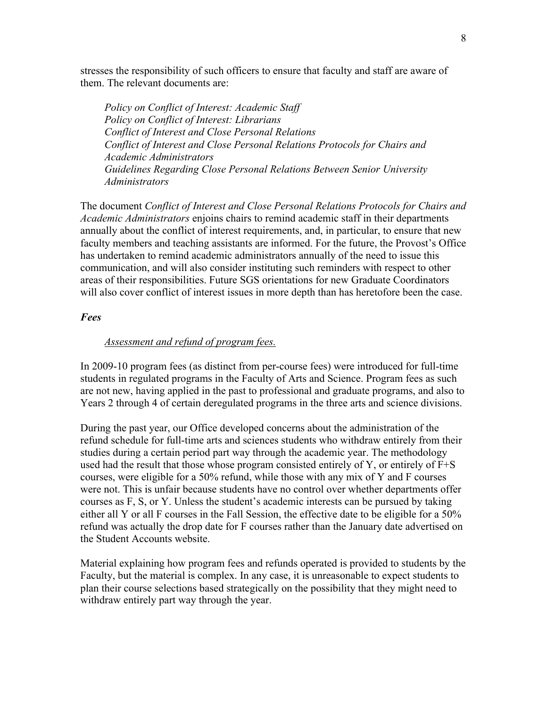stresses the responsibility of such officers to ensure that faculty and staff are aware of them. The relevant documents are:

*Policy on Conflict of Interest: Academic Staff Policy on Conflict of Interest: Librarians Conflict of Interest and Close Personal Relations Conflict of Interest and Close Personal Relations Protocols for Chairs and Academic Administrators Guidelines Regarding Close Personal Relations Between Senior University Administrators* 

The document *Conflict of Interest and Close Personal Relations Protocols for Chairs and Academic Administrators* enjoins chairs to remind academic staff in their departments annually about the conflict of interest requirements, and, in particular, to ensure that new faculty members and teaching assistants are informed. For the future, the Provost's Office has undertaken to remind academic administrators annually of the need to issue this communication, and will also consider instituting such reminders with respect to other areas of their responsibilities. Future SGS orientations for new Graduate Coordinators will also cover conflict of interest issues in more depth than has heretofore been the case.

#### *Fees*

#### *Assessment and refund of program fees.*

In 2009-10 program fees (as distinct from per-course fees) were introduced for full-time students in regulated programs in the Faculty of Arts and Science. Program fees as such are not new, having applied in the past to professional and graduate programs, and also to Years 2 through 4 of certain deregulated programs in the three arts and science divisions.

During the past year, our Office developed concerns about the administration of the refund schedule for full-time arts and sciences students who withdraw entirely from their studies during a certain period part way through the academic year. The methodology used had the result that those whose program consisted entirely of Y, or entirely of F+S courses, were eligible for a 50% refund, while those with any mix of Y and F courses were not. This is unfair because students have no control over whether departments offer courses as F, S, or Y. Unless the student's academic interests can be pursued by taking either all Y or all F courses in the Fall Session, the effective date to be eligible for a 50% refund was actually the drop date for F courses rather than the January date advertised on the Student Accounts website.

Material explaining how program fees and refunds operated is provided to students by the Faculty, but the material is complex. In any case, it is unreasonable to expect students to plan their course selections based strategically on the possibility that they might need to withdraw entirely part way through the year.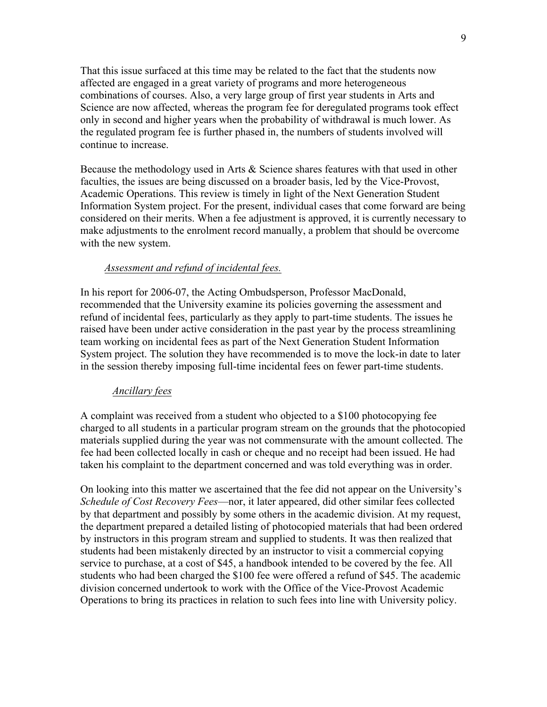That this issue surfaced at this time may be related to the fact that the students now affected are engaged in a great variety of programs and more heterogeneous combinations of courses. Also, a very large group of first year students in Arts and Science are now affected, whereas the program fee for deregulated programs took effect only in second and higher years when the probability of withdrawal is much lower. As the regulated program fee is further phased in, the numbers of students involved will continue to increase.

Because the methodology used in Arts & Science shares features with that used in other faculties, the issues are being discussed on a broader basis, led by the Vice-Provost, Academic Operations. This review is timely in light of the Next Generation Student Information System project. For the present, individual cases that come forward are being considered on their merits. When a fee adjustment is approved, it is currently necessary to make adjustments to the enrolment record manually, a problem that should be overcome with the new system.

#### *Assessment and refund of incidental fees.*

In his report for 2006-07, the Acting Ombudsperson, Professor MacDonald, recommended that the University examine its policies governing the assessment and refund of incidental fees, particularly as they apply to part-time students. The issues he raised have been under active consideration in the past year by the process streamlining team working on incidental fees as part of the Next Generation Student Information System project. The solution they have recommended is to move the lock-in date to later in the session thereby imposing full-time incidental fees on fewer part-time students.

#### *Ancillary fees*

A complaint was received from a student who objected to a \$100 photocopying fee charged to all students in a particular program stream on the grounds that the photocopied materials supplied during the year was not commensurate with the amount collected. The fee had been collected locally in cash or cheque and no receipt had been issued. He had taken his complaint to the department concerned and was told everything was in order.

On looking into this matter we ascertained that the fee did not appear on the University's *Schedule of Cost Recovery Fees*—nor, it later appeared, did other similar fees collected by that department and possibly by some others in the academic division. At my request, the department prepared a detailed listing of photocopied materials that had been ordered by instructors in this program stream and supplied to students. It was then realized that students had been mistakenly directed by an instructor to visit a commercial copying service to purchase, at a cost of \$45, a handbook intended to be covered by the fee. All students who had been charged the \$100 fee were offered a refund of \$45. The academic division concerned undertook to work with the Office of the Vice-Provost Academic Operations to bring its practices in relation to such fees into line with University policy.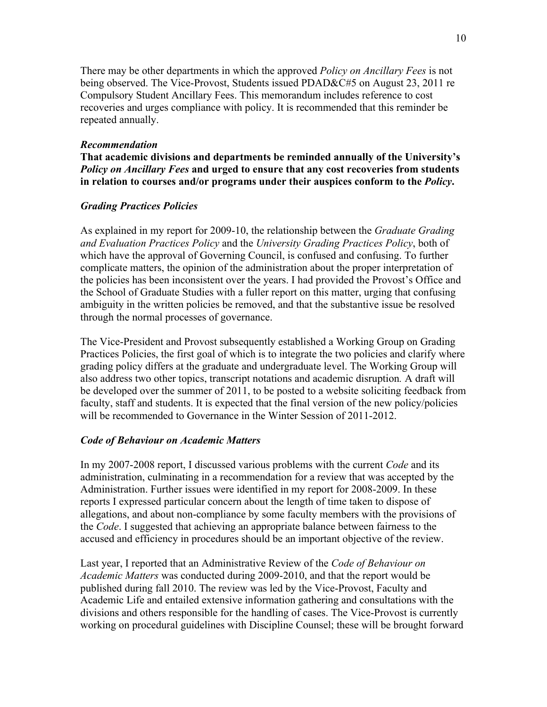There may be other departments in which the approved *Policy on Ancillary Fees* is not being observed. The Vice-Provost, Students issued PDAD&C#5 on August 23, 2011 re Compulsory Student Ancillary Fees. This memorandum includes reference to cost recoveries and urges compliance with policy. It is recommended that this reminder be repeated annually.

#### *Recommendation*

**That academic divisions and departments be reminded annually of the University's**  *Policy on Ancillary Fees* **and urged to ensure that any cost recoveries from students in relation to courses and/or programs under their auspices conform to the** *Policy***.**

#### *Grading Practices Policies*

As explained in my report for 2009-10, the relationship between the *Graduate Grading and Evaluation Practices Policy* and the *University Grading Practices Policy*, both of which have the approval of Governing Council, is confused and confusing. To further complicate matters, the opinion of the administration about the proper interpretation of the policies has been inconsistent over the years. I had provided the Provost's Office and the School of Graduate Studies with a fuller report on this matter, urging that confusing ambiguity in the written policies be removed, and that the substantive issue be resolved through the normal processes of governance.

The Vice-President and Provost subsequently established a Working Group on Grading Practices Policies, the first goal of which is to integrate the two policies and clarify where grading policy differs at the graduate and undergraduate level. The Working Group will also address two other topics, transcript notations and academic disruption*.* A draft will be developed over the summer of 2011, to be posted to a website soliciting feedback from faculty, staff and students. It is expected that the final version of the new policy/policies will be recommended to Governance in the Winter Session of 2011-2012.

#### *Code of Behaviour on Academic Matters*

In my 2007-2008 report, I discussed various problems with the current *Code* and its administration, culminating in a recommendation for a review that was accepted by the Administration. Further issues were identified in my report for 2008-2009. In these reports I expressed particular concern about the length of time taken to dispose of allegations, and about non-compliance by some faculty members with the provisions of the *Code*. I suggested that achieving an appropriate balance between fairness to the accused and efficiency in procedures should be an important objective of the review.

Last year, I reported that an Administrative Review of the *Code of Behaviour on Academic Matters* was conducted during 2009-2010, and that the report would be published during fall 2010. The review was led by the Vice-Provost, Faculty and Academic Life and entailed extensive information gathering and consultations with the divisions and others responsible for the handling of cases. The Vice-Provost is currently working on procedural guidelines with Discipline Counsel; these will be brought forward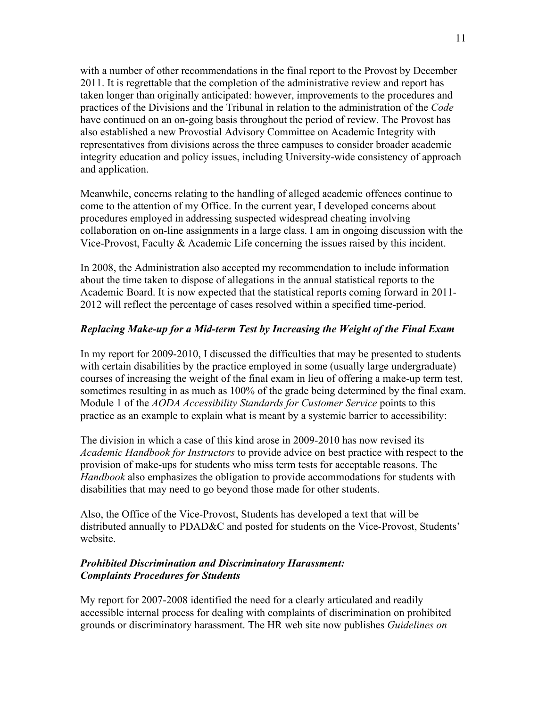with a number of other recommendations in the final report to the Provost by December 2011. It is regrettable that the completion of the administrative review and report has taken longer than originally anticipated: however, improvements to the procedures and practices of the Divisions and the Tribunal in relation to the administration of the *Code* have continued on an on-going basis throughout the period of review. The Provost has also established a new Provostial Advisory Committee on Academic Integrity with representatives from divisions across the three campuses to consider broader academic integrity education and policy issues, including University-wide consistency of approach and application.

Meanwhile, concerns relating to the handling of alleged academic offences continue to come to the attention of my Office. In the current year, I developed concerns about procedures employed in addressing suspected widespread cheating involving collaboration on on-line assignments in a large class. I am in ongoing discussion with the Vice-Provost, Faculty & Academic Life concerning the issues raised by this incident.

In 2008, the Administration also accepted my recommendation to include information about the time taken to dispose of allegations in the annual statistical reports to the Academic Board. It is now expected that the statistical reports coming forward in 2011- 2012 will reflect the percentage of cases resolved within a specified time-period.

#### *Replacing Make-up for a Mid-term Test by Increasing the Weight of the Final Exam*

In my report for 2009-2010, I discussed the difficulties that may be presented to students with certain disabilities by the practice employed in some (usually large undergraduate) courses of increasing the weight of the final exam in lieu of offering a make-up term test, sometimes resulting in as much as 100% of the grade being determined by the final exam. Module 1 of the *AODA Accessibility Standards for Customer Service* points to this practice as an example to explain what is meant by a systemic barrier to accessibility:

The division in which a case of this kind arose in 2009-2010 has now revised its *Academic Handbook for Instructors* to provide advice on best practice with respect to the provision of make-ups for students who miss term tests for acceptable reasons. The *Handbook* also emphasizes the obligation to provide accommodations for students with disabilities that may need to go beyond those made for other students.

Also, the Office of the Vice-Provost, Students has developed a text that will be distributed annually to PDAD&C and posted for students on the Vice-Provost, Students' website.

#### *Prohibited Discrimination and Discriminatory Harassment: Complaints Procedures for Students*

My report for 2007-2008 identified the need for a clearly articulated and readily accessible internal process for dealing with complaints of discrimination on prohibited grounds or discriminatory harassment. The HR web site now publishes *Guidelines on*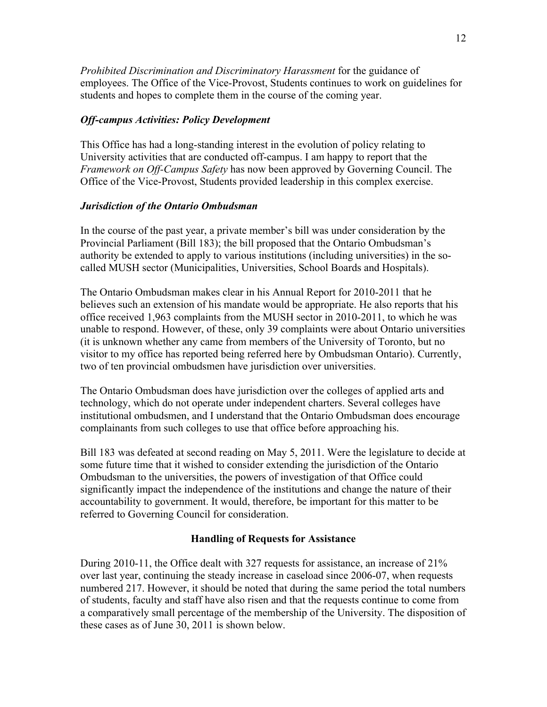*Prohibited Discrimination and Discriminatory Harassment* for the guidance of employees. The Office of the Vice-Provost, Students continues to work on guidelines for students and hopes to complete them in the course of the coming year.

#### *Off-campus Activities: Policy Development*

This Office has had a long-standing interest in the evolution of policy relating to University activities that are conducted off-campus. I am happy to report that the *Framework on Off-Campus Safety* has now been approved by Governing Council. The Office of the Vice-Provost, Students provided leadership in this complex exercise.

#### *Jurisdiction of the Ontario Ombudsman*

In the course of the past year, a private member's bill was under consideration by the Provincial Parliament (Bill 183); the bill proposed that the Ontario Ombudsman's authority be extended to apply to various institutions (including universities) in the socalled MUSH sector (Municipalities, Universities, School Boards and Hospitals).

The Ontario Ombudsman makes clear in his Annual Report for 2010-2011 that he believes such an extension of his mandate would be appropriate. He also reports that his office received 1,963 complaints from the MUSH sector in 2010-2011, to which he was unable to respond. However, of these, only 39 complaints were about Ontario universities (it is unknown whether any came from members of the University of Toronto, but no visitor to my office has reported being referred here by Ombudsman Ontario). Currently, two of ten provincial ombudsmen have jurisdiction over universities.

The Ontario Ombudsman does have jurisdiction over the colleges of applied arts and technology, which do not operate under independent charters. Several colleges have institutional ombudsmen, and I understand that the Ontario Ombudsman does encourage complainants from such colleges to use that office before approaching his.

Bill 183 was defeated at second reading on May 5, 2011. Were the legislature to decide at some future time that it wished to consider extending the jurisdiction of the Ontario Ombudsman to the universities, the powers of investigation of that Office could significantly impact the independence of the institutions and change the nature of their accountability to government. It would, therefore, be important for this matter to be referred to Governing Council for consideration.

#### **Handling of Requests for Assistance**

During 2010-11, the Office dealt with 327 requests for assistance, an increase of 21% over last year, continuing the steady increase in caseload since 2006-07, when requests numbered 217. However, it should be noted that during the same period the total numbers of students, faculty and staff have also risen and that the requests continue to come from a comparatively small percentage of the membership of the University. The disposition of these cases as of June 30, 2011 is shown below.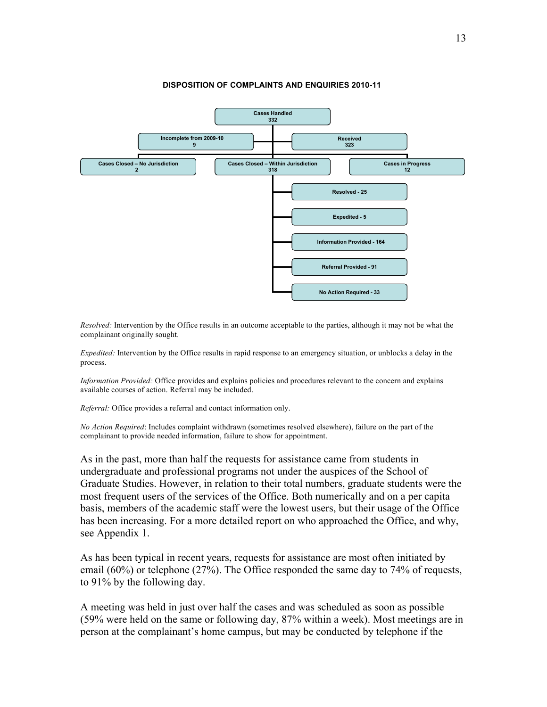

*Resolved:* Intervention by the Office results in an outcome acceptable to the parties, although it may not be what the complainant originally sought.

*Expedited:* Intervention by the Office results in rapid response to an emergency situation, or unblocks a delay in the process.

*Information Provided:* Office provides and explains policies and procedures relevant to the concern and explains available courses of action. Referral may be included.

*Referral:* Office provides a referral and contact information only.

*No Action Required*: Includes complaint withdrawn (sometimes resolved elsewhere), failure on the part of the complainant to provide needed information, failure to show for appointment.

As in the past, more than half the requests for assistance came from students in undergraduate and professional programs not under the auspices of the School of Graduate Studies. However, in relation to their total numbers, graduate students were the most frequent users of the services of the Office. Both numerically and on a per capita basis, members of the academic staff were the lowest users, but their usage of the Office has been increasing. For a more detailed report on who approached the Office, and why, see Appendix 1.

As has been typical in recent years, requests for assistance are most often initiated by email (60%) or telephone (27%). The Office responded the same day to 74% of requests, to 91% by the following day.

A meeting was held in just over half the cases and was scheduled as soon as possible (59% were held on the same or following day, 87% within a week). Most meetings are in person at the complainant's home campus, but may be conducted by telephone if the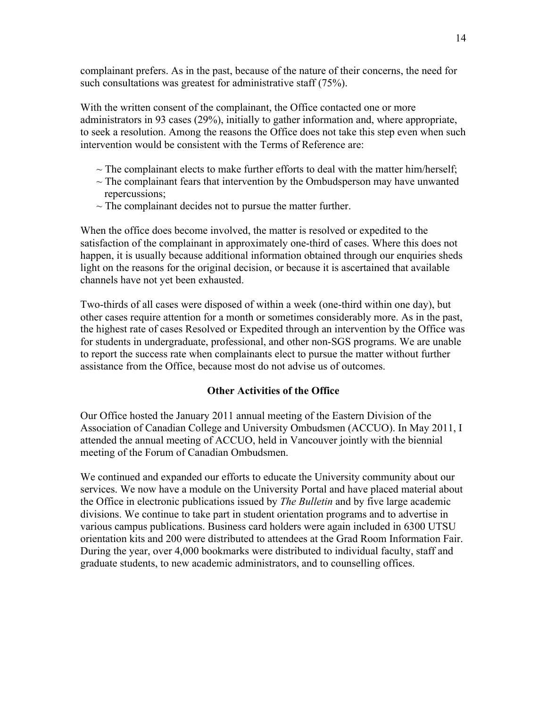complainant prefers. As in the past, because of the nature of their concerns, the need for such consultations was greatest for administrative staff (75%).

With the written consent of the complainant, the Office contacted one or more administrators in 93 cases (29%), initially to gather information and, where appropriate, to seek a resolution. Among the reasons the Office does not take this step even when such intervention would be consistent with the Terms of Reference are:

- $\sim$  The complainant elects to make further efforts to deal with the matter him/herself;
- $\sim$  The complainant fears that intervention by the Ombudsperson may have unwanted repercussions;
- $\sim$  The complainant decides not to pursue the matter further.

When the office does become involved, the matter is resolved or expedited to the satisfaction of the complainant in approximately one-third of cases. Where this does not happen, it is usually because additional information obtained through our enquiries sheds light on the reasons for the original decision, or because it is ascertained that available channels have not yet been exhausted.

Two-thirds of all cases were disposed of within a week (one-third within one day), but other cases require attention for a month or sometimes considerably more. As in the past, the highest rate of cases Resolved or Expedited through an intervention by the Office was for students in undergraduate, professional, and other non-SGS programs. We are unable to report the success rate when complainants elect to pursue the matter without further assistance from the Office, because most do not advise us of outcomes.

#### **Other Activities of the Office**

Our Office hosted the January 2011 annual meeting of the Eastern Division of the Association of Canadian College and University Ombudsmen (ACCUO). In May 2011, I attended the annual meeting of ACCUO, held in Vancouver jointly with the biennial meeting of the Forum of Canadian Ombudsmen.

We continued and expanded our efforts to educate the University community about our services. We now have a module on the University Portal and have placed material about the Office in electronic publications issued by *The Bulletin* and by five large academic divisions. We continue to take part in student orientation programs and to advertise in various campus publications. Business card holders were again included in 6300 UTSU orientation kits and 200 were distributed to attendees at the Grad Room Information Fair. During the year, over 4,000 bookmarks were distributed to individual faculty, staff and graduate students, to new academic administrators, and to counselling offices.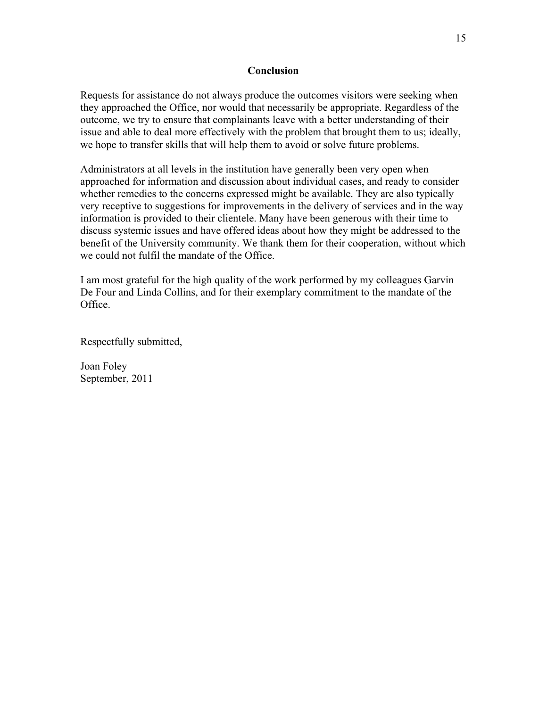#### **Conclusion**

Requests for assistance do not always produce the outcomes visitors were seeking when they approached the Office, nor would that necessarily be appropriate. Regardless of the outcome, we try to ensure that complainants leave with a better understanding of their issue and able to deal more effectively with the problem that brought them to us; ideally, we hope to transfer skills that will help them to avoid or solve future problems.

Administrators at all levels in the institution have generally been very open when approached for information and discussion about individual cases, and ready to consider whether remedies to the concerns expressed might be available. They are also typically very receptive to suggestions for improvements in the delivery of services and in the way information is provided to their clientele. Many have been generous with their time to discuss systemic issues and have offered ideas about how they might be addressed to the benefit of the University community. We thank them for their cooperation, without which we could not fulfil the mandate of the Office.

I am most grateful for the high quality of the work performed by my colleagues Garvin De Four and Linda Collins, and for their exemplary commitment to the mandate of the Office.

Respectfully submitted,

Joan Foley September, 2011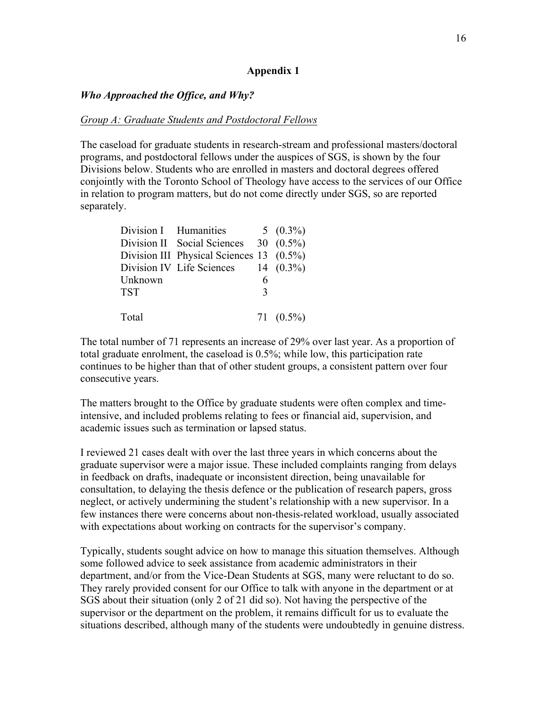#### **Appendix 1**

#### *Who Approached the Office, and Why?*

#### *Group A: Graduate Students and Postdoctoral Fellows*

The caseload for graduate students in research-stream and professional masters/doctoral programs, and postdoctoral fellows under the auspices of SGS, is shown by the four Divisions below. Students who are enrolled in masters and doctoral degrees offered conjointly with the Toronto School of Theology have access to the services of our Office in relation to program matters, but do not come directly under SGS, so are reported separately.

|            | Division I Humanities                             |               | 5 $(0.3\%)$ |
|------------|---------------------------------------------------|---------------|-------------|
|            | Division II Social Sciences 30 (0.5%)             |               |             |
|            | Division III Physical Sciences $13 \quad (0.5\%)$ |               |             |
|            | Division IV Life Sciences $14$ (0.3%)             |               |             |
| Unknown    |                                                   | 6             |             |
| <b>TST</b> |                                                   | $\mathcal{R}$ |             |
|            |                                                   |               |             |
| Total      |                                                   |               | $71(0.5\%)$ |

The total number of 71 represents an increase of 29% over last year. As a proportion of total graduate enrolment, the caseload is 0.5%; while low, this participation rate continues to be higher than that of other student groups, a consistent pattern over four consecutive years.

The matters brought to the Office by graduate students were often complex and timeintensive, and included problems relating to fees or financial aid, supervision, and academic issues such as termination or lapsed status.

I reviewed 21 cases dealt with over the last three years in which concerns about the graduate supervisor were a major issue. These included complaints ranging from delays in feedback on drafts, inadequate or inconsistent direction, being unavailable for consultation, to delaying the thesis defence or the publication of research papers, gross neglect, or actively undermining the student's relationship with a new supervisor. In a few instances there were concerns about non-thesis-related workload, usually associated with expectations about working on contracts for the supervisor's company.

Typically, students sought advice on how to manage this situation themselves. Although some followed advice to seek assistance from academic administrators in their department, and/or from the Vice-Dean Students at SGS, many were reluctant to do so. They rarely provided consent for our Office to talk with anyone in the department or at SGS about their situation (only 2 of 21 did so). Not having the perspective of the supervisor or the department on the problem, it remains difficult for us to evaluate the situations described, although many of the students were undoubtedly in genuine distress.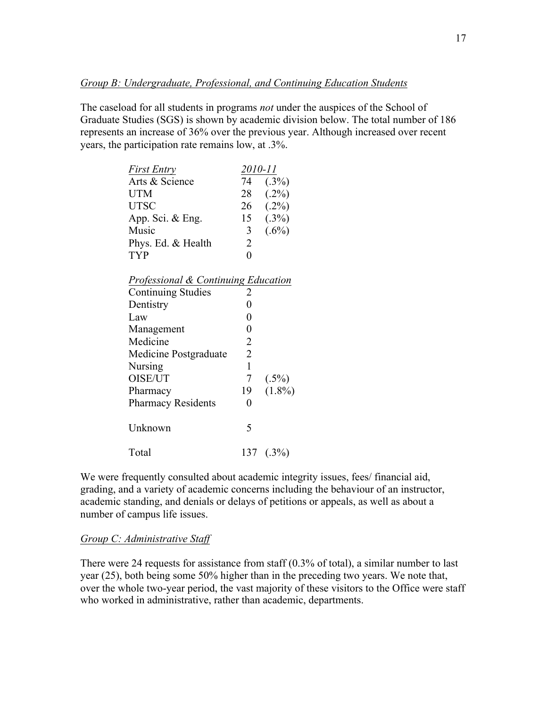The caseload for all students in programs *not* under the auspices of the School of Graduate Studies (SGS) is shown by academic division below. The total number of 186 represents an increase of 36% over the previous year. Although increased over recent years, the participation rate remains low, at .3%.

| <b>First Entry</b>                             | 2010-11        |               |
|------------------------------------------------|----------------|---------------|
| Arts & Science                                 | 74             | (.3%)         |
| <b>UTM</b>                                     |                | $28$ $(.2\%)$ |
| <b>UTSC</b>                                    |                | $26$ $(.2\%)$ |
| App. Sci. & Eng.                               |                | 15(3%)        |
| Music                                          | 3 <sup>7</sup> | $(.6\%)$      |
| Phys. Ed. & Health                             | 2              |               |
| <b>TYP</b>                                     | $\overline{0}$ |               |
|                                                |                |               |
| <b>Professional &amp; Continuing Education</b> |                |               |
| <b>Continuing Studies</b>                      | 2              |               |
| Dentistry                                      | 0              |               |
| Law                                            | 0              |               |
| Management                                     | 0              |               |
| Medicine                                       | 2              |               |
| Medicine Postgraduate                          | $\overline{2}$ |               |
| Nursing                                        | $\mathbf{1}$   |               |
| OISE/UT                                        | 7              | $(.5\%)$      |
| Pharmacy                                       | 19             | $(1.8\%)$     |
| <b>Pharmacy Residents</b>                      | 0              |               |
|                                                |                |               |
| Unknown                                        | 5              |               |
|                                                |                |               |
| Total                                          | 137            | $(.3\%)$      |

We were frequently consulted about academic integrity issues, fees/ financial aid, grading, and a variety of academic concerns including the behaviour of an instructor, academic standing, and denials or delays of petitions or appeals, as well as about a number of campus life issues.

#### *Group C: Administrative Staff*

There were 24 requests for assistance from staff (0.3% of total), a similar number to last year (25), both being some 50% higher than in the preceding two years. We note that, over the whole two-year period, the vast majority of these visitors to the Office were staff who worked in administrative, rather than academic, departments.